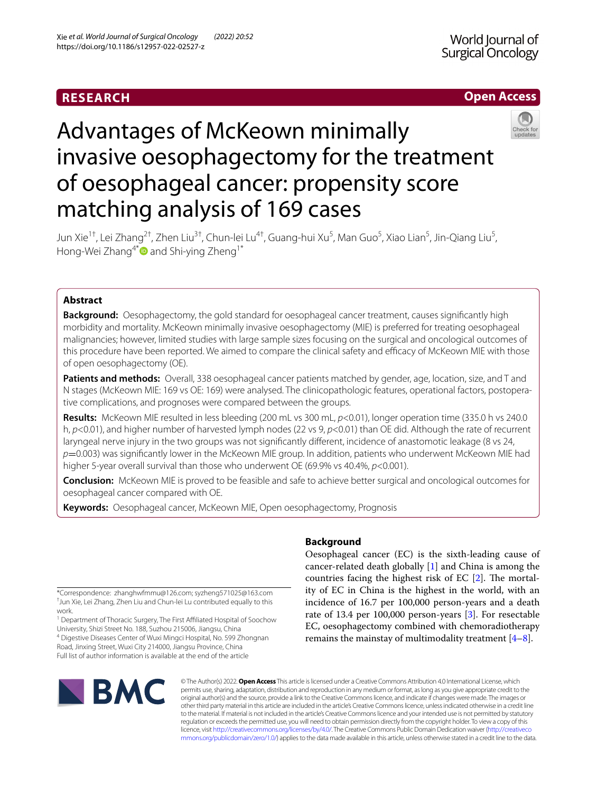# **RESEARCH**

# **Open Access**



# Advantages of McKeown minimally invasive oesophagectomy for the treatment of oesophageal cancer: propensity score matching analysis of 169 cases

Jun Xie<sup>1†</sup>, Lei Zhang<sup>2†</sup>, Zhen Liu<sup>3†</sup>, Chun-lei Lu<sup>4†</sup>, Guang-hui Xu<sup>5</sup>, Man Guo<sup>5</sup>, Xiao Lian<sup>5</sup>, Jin-Qiang Liu<sup>5</sup>, Hong-Wei Zhang<sup>4[\\*](http://orcid.org/0000-0002-9971-4518)</sup> and Shi-ying Zheng<sup>1\*</sup>

# **Abstract**

**Background:** Oesophagectomy, the gold standard for oesophageal cancer treatment, causes signifcantly high morbidity and mortality. McKeown minimally invasive oesophagectomy (MIE) is preferred for treating oesophageal malignancies; however, limited studies with large sample sizes focusing on the surgical and oncological outcomes of this procedure have been reported. We aimed to compare the clinical safety and efficacy of McKeown MIE with those of open oesophagectomy (OE).

**Patients and methods:** Overall, 338 oesophageal cancer patients matched by gender, age, location, size, and T and N stages (McKeown MIE: 169 vs OE: 169) were analysed. The clinicopathologic features, operational factors, postopera‑ tive complications, and prognoses were compared between the groups.

**Results:** McKeown MIE resulted in less bleeding (200 mL vs 300 mL, *p*<0.01), longer operation time (335.0 h vs 240.0 h, *p*<0.01), and higher number of harvested lymph nodes (22 vs 9, *p*<0.01) than OE did. Although the rate of recurrent laryngeal nerve injury in the two groups was not signifcantly diferent, incidence of anastomotic leakage (8 vs 24, *p*=0.003) was signifcantly lower in the McKeown MIE group. In addition, patients who underwent McKeown MIE had higher 5-year overall survival than those who underwent OE (69.9% vs 40.4%, *p*<0.001).

**Conclusion:** McKeown MIE is proved to be feasible and safe to achieve better surgical and oncological outcomes for oesophageal cancer compared with OE.

**Keywords:** Oesophageal cancer, McKeown MIE, Open oesophagectomy, Prognosis

\*Correspondence: zhanghwfmmu@126.com; syzheng571025@163.com † Jun Xie, Lei Zhang, Zhen Liu and Chun-lei Lu contributed equally to this work.

<sup>1</sup> Department of Thoracic Surgery, The First Affiliated Hospital of Soochow University, Shizi Street No. 188, Suzhou 215006, Jiangsu, China 4 Digestive Diseases Center of Wuxi Mingci Hospital, No. 599 Zhongnan

Road, Jinxing Street, Wuxi City 214000, Jiangsu Province, China Full list of author information is available at the end of the article

# **Background**

Oesophageal cancer (EC) is the sixth-leading cause of cancer-related death globally [\[1](#page-7-0)] and China is among the countries facing the highest risk of EC  $[2]$  $[2]$ . The mortality of EC in China is the highest in the world, with an incidence of 16.7 per 100,000 person-years and a death rate of 13.4 per 100,000 person-years [[3\]](#page-7-2). For resectable EC, oesophagectomy combined with chemoradiotherapy remains the mainstay of multimodality treatment  $[4-8]$  $[4-8]$ .



© The Author(s) 2022. **Open Access** This article is licensed under a Creative Commons Attribution 4.0 International License, which permits use, sharing, adaptation, distribution and reproduction in any medium or format, as long as you give appropriate credit to the original author(s) and the source, provide a link to the Creative Commons licence, and indicate if changes were made. The images or other third party material in this article are included in the article's Creative Commons licence, unless indicated otherwise in a credit line to the material. If material is not included in the article's Creative Commons licence and your intended use is not permitted by statutory regulation or exceeds the permitted use, you will need to obtain permission directly from the copyright holder. To view a copy of this licence, visit [http://creativecommons.org/licenses/by/4.0/.](http://creativecommons.org/licenses/by/4.0/) The Creative Commons Public Domain Dedication waiver ([http://creativeco](http://creativecommons.org/publicdomain/zero/1.0/) [mmons.org/publicdomain/zero/1.0/](http://creativecommons.org/publicdomain/zero/1.0/)) applies to the data made available in this article, unless otherwise stated in a credit line to the data.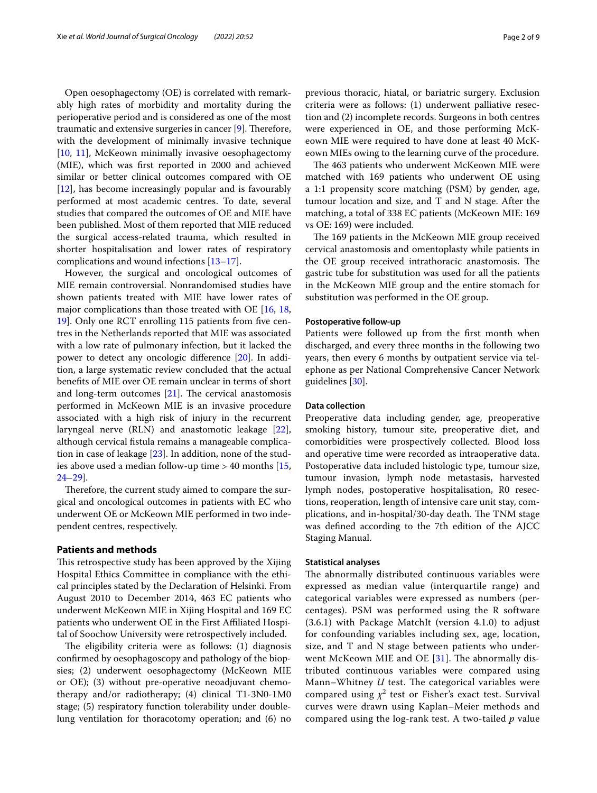Open oesophagectomy (OE) is correlated with remarkably high rates of morbidity and mortality during the perioperative period and is considered as one of the most traumatic and extensive surgeries in cancer  $[9]$  $[9]$ . Therefore, with the development of minimally invasive technique [[10,](#page-7-6) [11](#page-7-7)], McKeown minimally invasive oesophagectomy (MIE), which was frst reported in 2000 and achieved similar or better clinical outcomes compared with OE [[12\]](#page-7-8), has become increasingly popular and is favourably performed at most academic centres. To date, several studies that compared the outcomes of OE and MIE have been published. Most of them reported that MIE reduced the surgical access-related trauma, which resulted in shorter hospitalisation and lower rates of respiratory complications and wound infections [\[13–](#page-7-9)[17\]](#page-7-10).

However, the surgical and oncological outcomes of MIE remain controversial. Nonrandomised studies have shown patients treated with MIE have lower rates of major complications than those treated with OE [\[16](#page-7-11), [18](#page-7-12), [19\]](#page-7-13). Only one RCT enrolling 115 patients from fve centres in the Netherlands reported that MIE was associated with a low rate of pulmonary infection, but it lacked the power to detect any oncologic diference [\[20](#page-7-14)]. In addition, a large systematic review concluded that the actual benefts of MIE over OE remain unclear in terms of short and long-term outcomes  $[21]$  $[21]$ . The cervical anastomosis performed in McKeown MIE is an invasive procedure associated with a high risk of injury in the recurrent laryngeal nerve (RLN) and anastomotic leakage [\[22](#page-7-16)], although cervical fstula remains a manageable complication in case of leakage  $[23]$  $[23]$ . In addition, none of the studies above used a median follow-up time > 40 months [\[15](#page-7-18), [24–](#page-7-19)[29](#page-7-20)].

Therefore, the current study aimed to compare the surgical and oncological outcomes in patients with EC who underwent OE or McKeown MIE performed in two independent centres, respectively.

#### **Patients and methods**

This retrospective study has been approved by the Xijing Hospital Ethics Committee in compliance with the ethical principles stated by the Declaration of Helsinki. From August 2010 to December 2014, 463 EC patients who underwent McKeown MIE in Xijing Hospital and 169 EC patients who underwent OE in the First Afliated Hospital of Soochow University were retrospectively included.

The eligibility criteria were as follows: (1) diagnosis confrmed by oesophagoscopy and pathology of the biopsies; (2) underwent oesophagectomy (McKeown MIE or OE); (3) without pre-operative neoadjuvant chemotherapy and/or radiotherapy; (4) clinical T1-3N0-1M0 stage; (5) respiratory function tolerability under doublelung ventilation for thoracotomy operation; and (6) no previous thoracic, hiatal, or bariatric surgery. Exclusion criteria were as follows: (1) underwent palliative resection and (2) incomplete records. Surgeons in both centres were experienced in OE, and those performing McKeown MIE were required to have done at least 40 McKeown MIEs owing to the learning curve of the procedure.

The 463 patients who underwent McKeown MIE were matched with 169 patients who underwent OE using a 1:1 propensity score matching (PSM) by gender, age, tumour location and size, and T and N stage. After the matching, a total of 338 EC patients (McKeown MIE: 169 vs OE: 169) were included.

The 169 patients in the McKeown MIE group received cervical anastomosis and omentoplasty while patients in the OE group received intrathoracic anastomosis. The gastric tube for substitution was used for all the patients in the McKeown MIE group and the entire stomach for substitution was performed in the OE group.

#### **Postoperative follow‑up**

Patients were followed up from the frst month when discharged, and every three months in the following two years, then every 6 months by outpatient service via telephone as per National Comprehensive Cancer Network guidelines [[30](#page-7-21)].

## **Data collection**

Preoperative data including gender, age, preoperative smoking history, tumour site, preoperative diet, and comorbidities were prospectively collected. Blood loss and operative time were recorded as intraoperative data. Postoperative data included histologic type, tumour size, tumour invasion, lymph node metastasis, harvested lymph nodes, postoperative hospitalisation, R0 resections, reoperation, length of intensive care unit stay, complications, and in-hospital/30-day death. The TNM stage was defned according to the 7th edition of the AJCC Staging Manual.

## **Statistical analyses**

The abnormally distributed continuous variables were expressed as median value (interquartile range) and categorical variables were expressed as numbers (percentages). PSM was performed using the R software (3.6.1) with Package MatchIt (version 4.1.0) to adjust for confounding variables including sex, age, location, size, and T and N stage between patients who underwent McKeown MIE and OE  $[31]$  $[31]$ . The abnormally distributed continuous variables were compared using Mann–Whitney *U* test. The categorical variables were compared using  $\chi^2$  test or Fisher's exact test. Survival curves were drawn using Kaplan–Meier methods and compared using the log-rank test. A two-tailed *p* value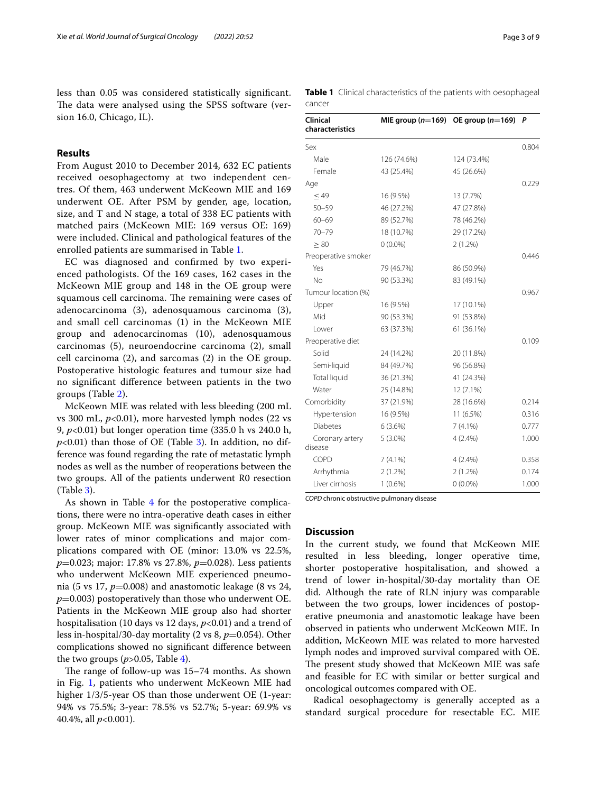less than 0.05 was considered statistically signifcant. The data were analysed using the SPSS software (version 16.0, Chicago, IL).

# **Results**

From August 2010 to December 2014, 632 EC patients received oesophagectomy at two independent centres. Of them, 463 underwent McKeown MIE and 169 underwent OE. After PSM by gender, age, location, size, and T and N stage, a total of 338 EC patients with matched pairs (McKeown MIE: 169 versus OE: 169) were included. Clinical and pathological features of the enrolled patients are summarised in Table [1.](#page-2-0)

EC was diagnosed and confrmed by two experienced pathologists. Of the 169 cases, 162 cases in the McKeown MIE group and 148 in the OE group were squamous cell carcinoma. The remaining were cases of adenocarcinoma (3), adenosquamous carcinoma (3), and small cell carcinomas (1) in the McKeown MIE group and adenocarcinomas (10), adenosquamous carcinomas (5), neuroendocrine carcinoma (2), small cell carcinoma (2), and sarcomas (2) in the OE group. Postoperative histologic features and tumour size had no signifcant diference between patients in the two groups (Table [2\)](#page-3-0).

McKeown MIE was related with less bleeding (200 mL vs 300 mL,  $p<0.01$ ), more harvested lymph nodes (22 vs 9, *p*<0.01) but longer operation time (335.0 h vs 240.0 h,  $p<0.01$ ) than those of OE (Table [3\)](#page-3-1). In addition, no difference was found regarding the rate of metastatic lymph nodes as well as the number of reoperations between the two groups. All of the patients underwent R0 resection (Table [3](#page-3-1)).

As shown in Table [4](#page-4-0) for the postoperative complications, there were no intra-operative death cases in either group. McKeown MIE was signifcantly associated with lower rates of minor complications and major complications compared with OE (minor: 13.0% vs 22.5%, *p*=0.023; major: 17.8% vs 27.8%, *p*=0.028). Less patients who underwent McKeown MIE experienced pneumonia (5 vs 17, *p*=0.008) and anastomotic leakage (8 vs 24,  $p=0.003$ ) postoperatively than those who underwent OE. Patients in the McKeown MIE group also had shorter hospitalisation (10 days vs 12 days,  $p<0.01$ ) and a trend of less in-hospital/30-day mortality (2 vs 8, *p*=0.054). Other complications showed no signifcant diference between the two groups  $(p>0.05,$  Table [4\)](#page-4-0).

The range of follow-up was  $15-74$  months. As shown in Fig. [1,](#page-4-1) patients who underwent McKeown MIE had higher 1/3/5-year OS than those underwent OE (1-year: 94% vs 75.5%; 3-year: 78.5% vs 52.7%; 5-year: 69.9% vs 40.4%, all *p*<0.001).

<span id="page-2-0"></span>**Table 1** Clinical characteristics of the patients with oesophageal cancer

| Clinical<br>characteristics | MIE group $(n=169)$ OE group $(n=169)$ |             | P     |
|-----------------------------|----------------------------------------|-------------|-------|
| Sex                         |                                        |             | 0.804 |
| Male                        | 126 (74.6%)                            | 124 (73.4%) |       |
| Female                      | 43 (25.4%)                             | 45 (26.6%)  |       |
| Age                         |                                        |             | 0.229 |
| < 49                        | 16 (9.5%)                              | 13 (7.7%)   |       |
| $50 - 59$                   | 46 (27.2%)                             | 47 (27.8%)  |       |
| $60 - 69$                   | 89 (52.7%)                             | 78 (46.2%)  |       |
| $70 - 79$                   | 18 (10.7%)                             | 29 (17.2%)  |       |
| $\geq 80$                   | $0(0.0\%)$                             | $2(1.2\%)$  |       |
| Preoperative smoker         |                                        |             | 0.446 |
| Yes                         | 79 (46.7%)                             | 86 (50.9%)  |       |
| No                          | 90 (53.3%)                             | 83 (49.1%)  |       |
| Tumour location (%)         |                                        |             | 0.967 |
| Upper                       | 16 (9.5%)                              | 17 (10.1%)  |       |
| Mid                         | 90 (53.3%)                             | 91 (53.8%)  |       |
| Lower                       | 63 (37.3%)                             | 61 (36.1%)  |       |
| Preoperative diet           |                                        |             | 0.109 |
| Solid                       | 24 (14.2%)                             | 20 (11.8%)  |       |
| Semi-liquid                 | 84 (49.7%)                             | 96 (56.8%)  |       |
| Total liquid                | 36 (21.3%)                             | 41 (24.3%)  |       |
| Water                       | 25 (14.8%)                             | 12 (7.1%)   |       |
| Comorbidity                 | 37 (21.9%)                             | 28 (16.6%)  | 0.214 |
| Hypertension                | 16 (9.5%)                              | 11 (6.5%)   | 0.316 |
| <b>Diabetes</b>             | 6(3.6%)                                | $7(4.1\%)$  | 0.777 |
| Coronary artery<br>disease  | $5(3.0\%)$                             | 4(2.4%)     | 1.000 |
| COPD                        | $7(4.1\%)$                             | $4(2.4\%)$  | 0.358 |
| Arrhythmia                  | $2(1.2\%)$                             | $2(1.2\%)$  | 0.174 |
| Liver cirrhosis             | $1(0.6\%)$                             | $0(0.0\%)$  | 1.000 |

*COPD* chronic obstructive pulmonary disease

# **Discussion**

In the current study, we found that McKeown MIE resulted in less bleeding, longer operative time, shorter postoperative hospitalisation, and showed a trend of lower in-hospital/30-day mortality than OE did. Although the rate of RLN injury was comparable between the two groups, lower incidences of postoperative pneumonia and anastomotic leakage have been observed in patients who underwent McKeown MIE. In addition, McKeown MIE was related to more harvested lymph nodes and improved survival compared with OE. The present study showed that McKeown MIE was safe and feasible for EC with similar or better surgical and oncological outcomes compared with OE.

Radical oesophagectomy is generally accepted as a standard surgical procedure for resectable EC. MIE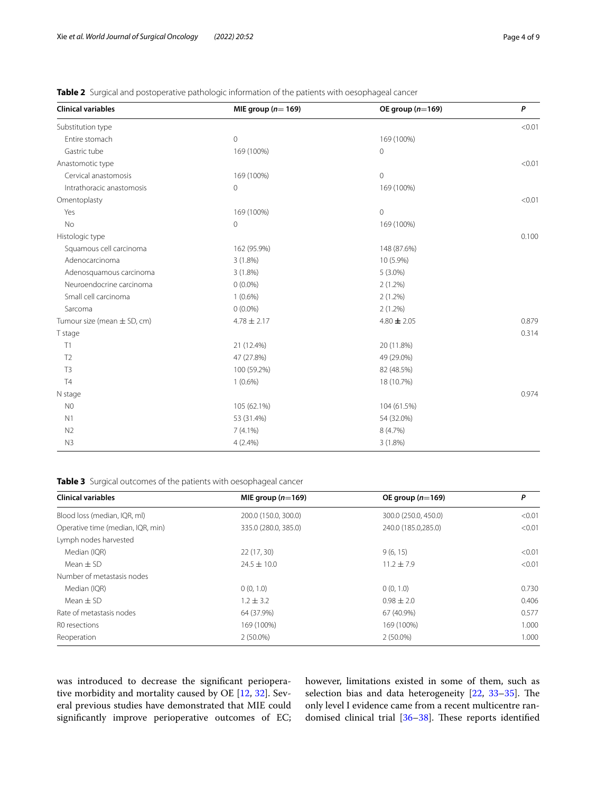| <b>Clinical variables</b>       | MIE group ( $n=169$ ) | OE group $(n=169)$ | P      |
|---------------------------------|-----------------------|--------------------|--------|
| Substitution type               |                       |                    | < 0.01 |
| Entire stomach                  | $\mathbf 0$           | 169 (100%)         |        |
| Gastric tube                    | 169 (100%)            | 0                  |        |
| Anastomotic type                |                       |                    | < 0.01 |
| Cervical anastomosis            | 169 (100%)            | $\overline{0}$     |        |
| Intrathoracic anastomosis       | 0                     | 169 (100%)         |        |
| Omentoplasty                    |                       |                    | < 0.01 |
| Yes                             | 169 (100%)            | 0                  |        |
| No                              | 0                     | 169 (100%)         |        |
| Histologic type                 |                       |                    | 0.100  |
| Squamous cell carcinoma         | 162 (95.9%)           | 148 (87.6%)        |        |
| Adenocarcinoma                  | $3(1.8\%)$            | 10 (5.9%)          |        |
| Adenosquamous carcinoma         | $3(1.8\%)$            | $5(3.0\%)$         |        |
| Neuroendocrine carcinoma        | $0(0.0\%)$            | $2(1.2\%)$         |        |
| Small cell carcinoma            | $1(0.6\%)$            | $2(1.2\%)$         |        |
| Sarcoma                         | $0(0.0\%)$            | $2(1.2\%)$         |        |
| Tumour size (mean $\pm$ SD, cm) | $4.78 \pm 2.17$       | $4.80 \pm 2.05$    | 0.879  |
| T stage                         |                       |                    | 0.314  |
| T1                              | 21 (12.4%)            | 20 (11.8%)         |        |
| T <sub>2</sub>                  | 47 (27.8%)            | 49 (29.0%)         |        |
| T <sub>3</sub>                  | 100 (59.2%)           | 82 (48.5%)         |        |
| T <sub>4</sub>                  | $1(0.6\%)$            | 18 (10.7%)         |        |
| N stage                         |                       |                    | 0.974  |
| N <sub>0</sub>                  | 105 (62.1%)           | 104 (61.5%)        |        |
| N <sub>1</sub>                  | 53 (31.4%)            | 54 (32.0%)         |        |
| N <sub>2</sub>                  | $7(4.1\%)$            | 8 (4.7%)           |        |
| N3                              | $4(2.4\%)$            | $3(1.8\%)$         |        |

<span id="page-3-0"></span>**Table 2** Surgical and postoperative pathologic information of the patients with oesophageal cancer

<span id="page-3-1"></span>**Table 3** Surgical outcomes of the patients with oesophageal cancer

| <b>Clinical variables</b>         | MIE group $(n=169)$  | OE group $(n=169)$   | Ρ      |
|-----------------------------------|----------------------|----------------------|--------|
| Blood loss (median, IQR, ml)      | 200.0 (150.0, 300.0) | 300.0 (250.0, 450.0) | < 0.01 |
| Operative time (median, IQR, min) | 335.0 (280.0, 385.0) | 240.0 (185.0,285.0)  | < 0.01 |
| Lymph nodes harvested             |                      |                      |        |
| Median (IQR)                      | 22(17, 30)           | 9(6, 15)             | < 0.01 |
| Mean $\pm$ SD                     | $24.5 \pm 10.0$      | $11.2 \pm 7.9$       | < 0.01 |
| Number of metastasis nodes        |                      |                      |        |
| Median (IOR)                      | 0(0, 1.0)            | 0(0, 1.0)            | 0.730  |
| Mean $\pm$ SD                     | $1.2 \pm 3.2$        | $0.98 + 2.0$         | 0.406  |
| Rate of metastasis nodes          | 64 (37.9%)           | 67 (40.9%)           | 0.577  |
| R0 resections                     | 169 (100%)           | 169 (100%)           | 1.000  |
| Reoperation                       | $2(50.0\%)$          | $2(50.0\%)$          | 1.000  |

was introduced to decrease the signifcant perioperative morbidity and mortality caused by OE [\[12](#page-7-8), [32](#page-7-23)]. Several previous studies have demonstrated that MIE could signifcantly improve perioperative outcomes of EC; however, limitations existed in some of them, such as selection bias and data heterogeneity  $[22, 33-35]$  $[22, 33-35]$  $[22, 33-35]$  $[22, 33-35]$ . The only level I evidence came from a recent multicentre ran-domised clinical trial [36-[38\]](#page-8-1). These reports identified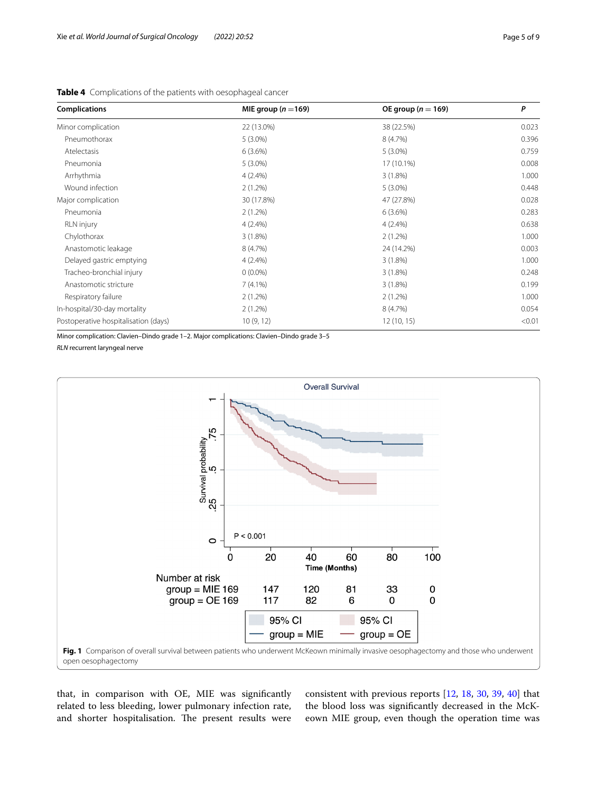| <b>Complications</b>                 | MIE group ( $n = 169$ ) | OE group ( $n = 169$ ) | P      |
|--------------------------------------|-------------------------|------------------------|--------|
| Minor complication                   | 22 (13.0%)              | 38 (22.5%)             | 0.023  |
| Pneumothorax                         | $5(3.0\%)$              | 8 (4.7%)               | 0.396  |
| Atelectasis                          | 6(3.6%)                 | $5(3.0\%)$             | 0.759  |
| Pneumonia                            | $5(3.0\%)$              | 17 (10.1%)             | 0.008  |
| Arrhythmia                           | 4(2.4%)                 | 3(1.8%)                | 1.000  |
| Wound infection                      | $2(1.2\%)$              | $5(3.0\%)$             | 0.448  |
| Major complication                   | 30 (17.8%)              | 47 (27.8%)             | 0.028  |
| Pneumonia                            | $2(1.2\%)$              | 6(3.6%)                | 0.283  |
| <b>RLN</b> injury                    | $4(2.4\%)$              | $4(2.4\%)$             | 0.638  |
| Chylothorax                          | $3(1.8\%)$              | $2(1.2\%)$             | 1.000  |
| Anastomotic leakage                  | 8 (4.7%)                | 24 (14.2%)             | 0.003  |
| Delayed gastric emptying             | $4(2.4\%)$              | 3(1.8%)                | 1.000  |
| Tracheo-bronchial injury             | $0(0.0\%)$              | 3(1.8%)                | 0.248  |
| Anastomotic stricture                | $7(4.1\%)$              | 3(1.8%)                | 0.199  |
| Respiratory failure                  | $2(1.2\%)$              | $2(1.2\%)$             | 1.000  |
| In-hospital/30-day mortality         | $2(1.2\%)$              | 8 (4.7%)               | 0.054  |
| Postoperative hospitalisation (days) | 10(9, 12)               | 12(10, 15)             | < 0.01 |

<span id="page-4-0"></span>**Table 4** Complications of the patients with oesophageal cancer

Minor complication: Clavien–Dindo grade 1–2. Major complications: Clavien–Dindo grade 3–5

*RLN* recurrent laryngeal nerve



<span id="page-4-1"></span>that, in comparison with OE, MIE was signifcantly related to less bleeding, lower pulmonary infection rate, and shorter hospitalisation. The present results were consistent with previous reports [\[12](#page-7-8), [18](#page-7-12), [30,](#page-7-21) [39,](#page-8-2) [40\]](#page-8-3) that the blood loss was signifcantly decreased in the McKeown MIE group, even though the operation time was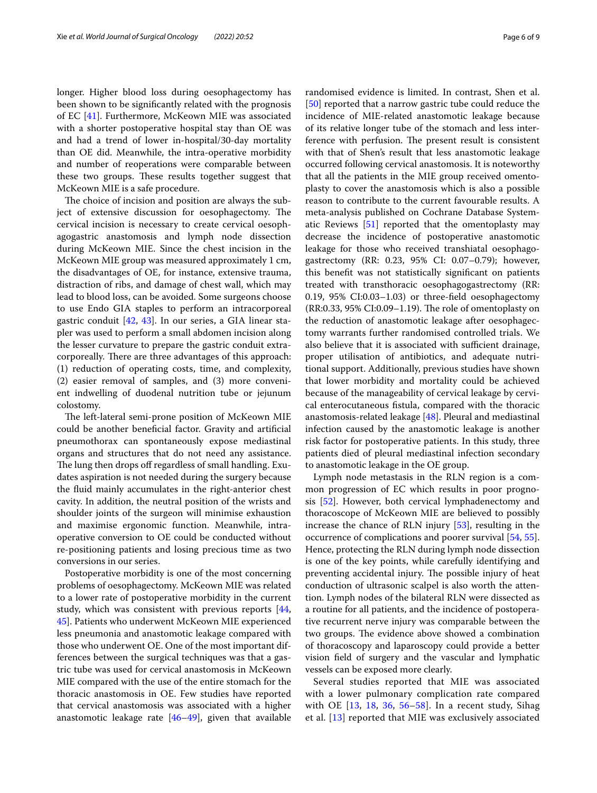longer. Higher blood loss during oesophagectomy has been shown to be signifcantly related with the prognosis of EC [[41\]](#page-8-4). Furthermore, McKeown MIE was associated with a shorter postoperative hospital stay than OE was and had a trend of lower in-hospital/30-day mortality than OE did. Meanwhile, the intra-operative morbidity and number of reoperations were comparable between these two groups. These results together suggest that McKeown MIE is a safe procedure.

The choice of incision and position are always the subject of extensive discussion for oesophagectomy. The cervical incision is necessary to create cervical oesophagogastric anastomosis and lymph node dissection during McKeown MIE. Since the chest incision in the McKeown MIE group was measured approximately 1 cm, the disadvantages of OE, for instance, extensive trauma, distraction of ribs, and damage of chest wall, which may lead to blood loss, can be avoided. Some surgeons choose to use Endo GIA staples to perform an intracorporeal gastric conduit [[42,](#page-8-5) [43](#page-8-6)]. In our series, a GIA linear stapler was used to perform a small abdomen incision along the lesser curvature to prepare the gastric conduit extracorporeally. There are three advantages of this approach: (1) reduction of operating costs, time, and complexity, (2) easier removal of samples, and (3) more convenient indwelling of duodenal nutrition tube or jejunum colostomy.

The left-lateral semi-prone position of McKeown MIE could be another benefcial factor. Gravity and artifcial pneumothorax can spontaneously expose mediastinal organs and structures that do not need any assistance. The lung then drops off regardless of small handling. Exudates aspiration is not needed during the surgery because the fuid mainly accumulates in the right-anterior chest cavity. In addition, the neutral position of the wrists and shoulder joints of the surgeon will minimise exhaustion and maximise ergonomic function. Meanwhile, intraoperative conversion to OE could be conducted without re-positioning patients and losing precious time as two conversions in our series.

Postoperative morbidity is one of the most concerning problems of oesophagectomy. McKeown MIE was related to a lower rate of postoperative morbidity in the current study, which was consistent with previous reports  $[44, 4]$  $[44, 4]$ [45\]](#page-8-8). Patients who underwent McKeown MIE experienced less pneumonia and anastomotic leakage compared with those who underwent OE. One of the most important differences between the surgical techniques was that a gastric tube was used for cervical anastomosis in McKeown MIE compared with the use of the entire stomach for the thoracic anastomosis in OE. Few studies have reported that cervical anastomosis was associated with a higher anastomotic leakage rate [\[46–](#page-8-9)[49\]](#page-8-10), given that available randomised evidence is limited. In contrast, Shen et al. [[50\]](#page-8-11) reported that a narrow gastric tube could reduce the incidence of MIE-related anastomotic leakage because of its relative longer tube of the stomach and less interference with perfusion. The present result is consistent with that of Shen's result that less anastomotic leakage occurred following cervical anastomosis. It is noteworthy that all the patients in the MIE group received omentoplasty to cover the anastomosis which is also a possible reason to contribute to the current favourable results. A meta-analysis published on Cochrane Database Systematic Reviews [\[51](#page-8-12)] reported that the omentoplasty may decrease the incidence of postoperative anastomotic leakage for those who received transhiatal oesophagogastrectomy (RR: 0.23, 95% CI: 0.07–0.79); however, this beneft was not statistically signifcant on patients treated with transthoracic oesophagogastrectomy (RR: 0.19, 95% CI:0.03–1.03) or three-feld oesophagectomy  $(RR:0.33, 95\% CI:0.09-1.19)$ . The role of omentoplasty on the reduction of anastomotic leakage after oesophagectomy warrants further randomised controlled trials. We also believe that it is associated with sufficient drainage, proper utilisation of antibiotics, and adequate nutritional support. Additionally, previous studies have shown that lower morbidity and mortality could be achieved because of the manageability of cervical leakage by cervical enterocutaneous fstula, compared with the thoracic anastomosis-related leakage [[48\]](#page-8-13). Pleural and mediastinal infection caused by the anastomotic leakage is another risk factor for postoperative patients. In this study, three patients died of pleural mediastinal infection secondary to anastomotic leakage in the OE group.

Lymph node metastasis in the RLN region is a common progression of EC which results in poor prognosis [\[52](#page-8-14)]. However, both cervical lymphadenectomy and thoracoscope of McKeown MIE are believed to possibly increase the chance of RLN injury [[53\]](#page-8-15), resulting in the occurrence of complications and poorer survival [[54,](#page-8-16) [55](#page-8-17)]. Hence, protecting the RLN during lymph node dissection is one of the key points, while carefully identifying and preventing accidental injury. The possible injury of heat conduction of ultrasonic scalpel is also worth the attention. Lymph nodes of the bilateral RLN were dissected as a routine for all patients, and the incidence of postoperative recurrent nerve injury was comparable between the two groups. The evidence above showed a combination of thoracoscopy and laparoscopy could provide a better vision feld of surgery and the vascular and lymphatic vessels can be exposed more clearly.

Several studies reported that MIE was associated with a lower pulmonary complication rate compared with OE [[13,](#page-7-9) [18](#page-7-12), [36,](#page-8-0) [56–](#page-8-18)[58\]](#page-8-19). In a recent study, Sihag et al. [[13\]](#page-7-9) reported that MIE was exclusively associated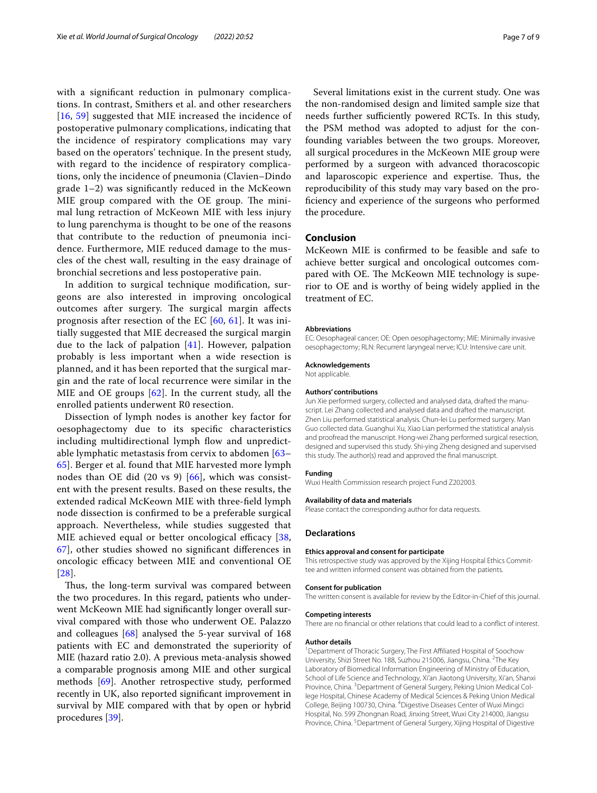with a signifcant reduction in pulmonary complications. In contrast, Smithers et al. and other researchers [[16](#page-7-11), [59\]](#page-8-20) suggested that MIE increased the incidence of postoperative pulmonary complications, indicating that the incidence of respiratory complications may vary based on the operators' technique. In the present study, with regard to the incidence of respiratory complications, only the incidence of pneumonia (Clavien–Dindo grade 1–2) was signifcantly reduced in the McKeown MIE group compared with the OE group. The minimal lung retraction of McKeown MIE with less injury to lung parenchyma is thought to be one of the reasons that contribute to the reduction of pneumonia incidence. Furthermore, MIE reduced damage to the muscles of the chest wall, resulting in the easy drainage of bronchial secretions and less postoperative pain.

In addition to surgical technique modifcation, surgeons are also interested in improving oncological outcomes after surgery. The surgical margin affects prognosis after resection of the EC [[60,](#page-8-21) [61](#page-8-22)]. It was initially suggested that MIE decreased the surgical margin due to the lack of palpation [\[41](#page-8-4)]. However, palpation probably is less important when a wide resection is planned, and it has been reported that the surgical margin and the rate of local recurrence were similar in the MIE and OE groups [[62](#page-8-23)]. In the current study, all the enrolled patients underwent R0 resection.

Dissection of lymph nodes is another key factor for oesophagectomy due to its specifc characteristics including multidirectional lymph flow and unpredictable lymphatic metastasis from cervix to abdomen [[63–](#page-8-24) [65\]](#page-8-25). Berger et al. found that MIE harvested more lymph nodes than OE did  $(20 \text{ vs } 9)$   $[66]$  $[66]$  $[66]$ , which was consistent with the present results. Based on these results, the extended radical McKeown MIE with three-feld lymph node dissection is confrmed to be a preferable surgical approach. Nevertheless, while studies suggested that MIE achieved equal or better oncological efficacy  $[38,$  $[38,$ [67\]](#page-8-27), other studies showed no signifcant diferences in oncologic efficacy between MIE and conventional OE [[28](#page-7-26)].

Thus, the long-term survival was compared between the two procedures. In this regard, patients who underwent McKeown MIE had signifcantly longer overall survival compared with those who underwent OE. Palazzo and colleagues [[68\]](#page-8-28) analysed the 5-year survival of 168 patients with EC and demonstrated the superiority of MIE (hazard ratio 2.0). A previous meta-analysis showed a comparable prognosis among MIE and other surgical methods [\[69](#page-8-29)]. Another retrospective study, performed recently in UK, also reported signifcant improvement in survival by MIE compared with that by open or hybrid procedures [[39\]](#page-8-2).

Several limitations exist in the current study. One was the non-randomised design and limited sample size that needs further sufficiently powered RCTs. In this study, the PSM method was adopted to adjust for the confounding variables between the two groups. Moreover, all surgical procedures in the McKeown MIE group were performed by a surgeon with advanced thoracoscopic and laparoscopic experience and expertise. Thus, the reproducibility of this study may vary based on the profciency and experience of the surgeons who performed the procedure.

## **Conclusion**

McKeown MIE is confrmed to be feasible and safe to achieve better surgical and oncological outcomes compared with OE. The McKeown MIE technology is superior to OE and is worthy of being widely applied in the treatment of EC.

#### **Abbreviations**

EC: Oesophageal cancer; OE: Open oesophagectomy; MIE: Minimally invasive oesophagectomy; RLN: Recurrent laryngeal nerve; ICU: Intensive care unit.

#### **Acknowledgements** Not applicable.

#### **Authors' contributions**

Jun Xie performed surgery, collected and analysed data, drafted the manuscript. Lei Zhang collected and analysed data and drafted the manuscript. Zhen Liu performed statistical analysis. Chun-lei Lu performed surgery. Man Guo collected data. Guanghui Xu, Xiao Lian performed the statistical analysis and proofread the manuscript. Hong-wei Zhang performed surgical resection, designed and supervised this study. Shi-ying Zheng designed and supervised this study. The author(s) read and approved the fnal manuscript.

#### **Funding**

Wuxi Health Commission research project Fund Z202003.

#### **Availability of data and materials**

Please contact the corresponding author for data requests.

#### **Declarations**

#### **Ethics approval and consent for participate**

This retrospective study was approved by the Xijing Hospital Ethics Committee and written informed consent was obtained from the patients.

#### **Consent for publication**

The written consent is available for review by the Editor-in-Chief of this journal.

#### **Competing interests**

There are no fnancial or other relations that could lead to a confict of interest.

#### **Author details**

<sup>1</sup> Department of Thoracic Surgery, The First Affiliated Hospital of Soochow University, Shizi Street No. 188, Suzhou 215006, Jiangsu, China. <sup>2</sup>The Key Laboratory of Biomedical Information Engineering of Ministry of Education, School of Life Science and Technology, Xi'an Jiaotong University, Xi'an, Shanxi Province, China. <sup>3</sup> Department of General Surgery, Peking Union Medical College Hospital, Chinese Academy of Medical Sciences & Peking Union Medical College, Beijing 100730, China. <sup>4</sup> Digestive Diseases Center of Wuxi Mingci Hospital, No. 599 Zhongnan Road, Jinxing Street, Wuxi City 214000, Jiangsu Province, China.<sup>5</sup> Department of General Surgery, Xijing Hospital of Digestive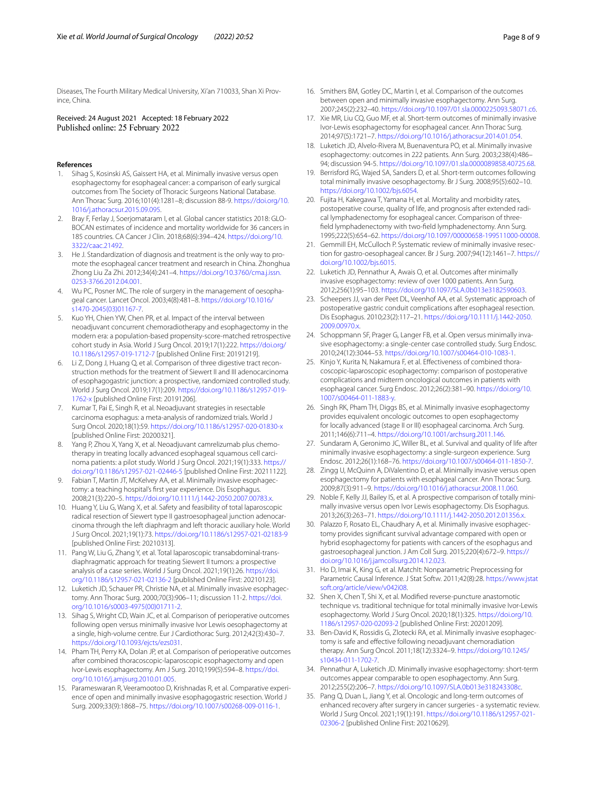Diseases, The Fourth Military Medical University, Xi'an 710033, Shan Xi Province, China.

Received: 24 August 2021 Accepted: 18 February 2022

#### **References**

- <span id="page-7-0"></span>1. Sihag S, Kosinski AS, Gaissert HA, et al. Minimally invasive versus open esophagectomy for esophageal cancer: a comparison of early surgical outcomes from The Society of Thoracic Surgeons National Database. Ann Thorac Surg. 2016;101(4):1281–8; discussion 88-9. [https://doi.org/10.](https://doi.org/10.1016/j.athoracsur.2015.09.095) [1016/j.athoracsur.2015.09.095.](https://doi.org/10.1016/j.athoracsur.2015.09.095)
- <span id="page-7-1"></span>2. Bray F, Ferlay J, Soerjomataram I, et al. Global cancer statistics 2018: GLO-BOCAN estimates of incidence and mortality worldwide for 36 cancers in 185 countries. CA Cancer J Clin. 2018;68(6):394–424. [https://doi.org/10.](https://doi.org/10.3322/caac.21492) [3322/caac.21492.](https://doi.org/10.3322/caac.21492)
- <span id="page-7-2"></span>3. He J. Standardization of diagnosis and treatment is the only way to promote the esophageal cancer treatment and research in China. Zhonghua Zhong Liu Za Zhi. 2012;34(4):241–4. [https://doi.org/10.3760/cma.j.issn.](https://doi.org/10.3760/cma.j.issn.0253-3766.2012.04.001) [0253-3766.2012.04.001](https://doi.org/10.3760/cma.j.issn.0253-3766.2012.04.001).
- <span id="page-7-3"></span>4. Wu PC, Posner MC. The role of surgery in the management of oesophageal cancer. Lancet Oncol. 2003;4(8):481–8. [https://doi.org/10.1016/](https://doi.org/10.1016/s1470-2045(03)01167-7) [s1470-2045\(03\)01167-7](https://doi.org/10.1016/s1470-2045(03)01167-7).
- 5. Kuo YH, Chien YW, Chen PR, et al. Impact of the interval between neoadjuvant concurrent chemoradiotherapy and esophagectomy in the modern era: a population-based propensity-score-matched retrospective cohort study in Asia. World J Surg Oncol. 2019;17(1):222. [https://doi.org/](https://doi.org/10.1186/s12957-019-1712-7) [10.1186/s12957-019-1712-7](https://doi.org/10.1186/s12957-019-1712-7) [published Online First: 20191219].
- 6. Li Z, Dong J, Huang Q, et al. Comparison of three digestive tract reconstruction methods for the treatment of Siewert II and III adenocarcinoma of esophagogastric junction: a prospective, randomized controlled study. World J Surg Oncol. 2019;17(1):209. [https://doi.org/10.1186/s12957-019-](https://doi.org/10.1186/s12957-019-1762-x) [1762-x](https://doi.org/10.1186/s12957-019-1762-x) [published Online First: 20191206].
- 7. Kumar T, Pai E, Singh R, et al. Neoadjuvant strategies in resectable carcinoma esophagus: a meta-analysis of randomized trials. World J Surg Oncol. 2020;18(1):59.<https://doi.org/10.1186/s12957-020-01830-x> [published Online First: 20200321].
- <span id="page-7-4"></span>8. Yang P, Zhou X, Yang X, et al. Neoadjuvant camrelizumab plus chemotherapy in treating locally advanced esophageal squamous cell carcinoma patients: a pilot study. World J Surg Oncol. 2021;19(1):333. [https://](https://doi.org/10.1186/s12957-021-02446-5) [doi.org/10.1186/s12957-021-02446-5](https://doi.org/10.1186/s12957-021-02446-5) [published Online First: 20211122].
- <span id="page-7-5"></span>9. Fabian T, Martin JT, McKelvey AA, et al. Minimally invasive esophagectomy: a teaching hospital's frst year experience. Dis Esophagus. 2008;21(3):220–5.<https://doi.org/10.1111/j.1442-2050.2007.00783.x>.
- <span id="page-7-6"></span>10. Huang Y, Liu G, Wang X, et al. Safety and feasibility of total laparoscopic radical resection of Siewert type II gastroesophageal junction adenocarcinoma through the left diaphragm and left thoracic auxiliary hole. World J Surg Oncol. 2021;19(1):73. <https://doi.org/10.1186/s12957-021-02183-9> [published Online First: 20210313].
- <span id="page-7-7"></span>11. Pang W, Liu G, Zhang Y, et al. Total laparoscopic transabdominal-trans‑ diaphragmatic approach for treating Siewert II tumors: a prospective analysis of a case series. World J Surg Oncol. 2021;19(1):26. [https://doi.](https://doi.org/10.1186/s12957-021-02136-2) [org/10.1186/s12957-021-02136-2](https://doi.org/10.1186/s12957-021-02136-2) [published Online First: 20210123].
- <span id="page-7-8"></span>12. Luketich JD, Schauer PR, Christie NA, et al. Minimally invasive esophagectomy. Ann Thorac Surg. 2000;70(3):906–11; discussion 11-2. [https://doi.](https://doi.org/10.1016/s0003-4975(00)01711-2) [org/10.1016/s0003-4975\(00\)01711-2](https://doi.org/10.1016/s0003-4975(00)01711-2).
- <span id="page-7-9"></span>13. Sihag S, Wright CD, Wain JC, et al. Comparison of perioperative outcomes following open versus minimally invasive Ivor Lewis oesophagectomy at a single, high-volume centre. Eur J Cardiothorac Surg. 2012;42(3):430–7. <https://doi.org/10.1093/ejcts/ezs031>.
- 14. Pham TH, Perry KA, Dolan JP, et al. Comparison of perioperative outcomes after combined thoracoscopic-laparoscopic esophagectomy and open Ivor-Lewis esophagectomy. Am J Surg. 2010;199(5):594–8. [https://doi.](https://doi.org/10.1016/j.amjsurg.2010.01.005) [org/10.1016/j.amjsurg.2010.01.005](https://doi.org/10.1016/j.amjsurg.2010.01.005).
- <span id="page-7-18"></span>15. Parameswaran R, Veeramootoo D, Krishnadas R, et al. Comparative experience of open and minimally invasive esophagogastric resection. World J Surg. 2009;33(9):1868–75.<https://doi.org/10.1007/s00268-009-0116-1>.
- <span id="page-7-11"></span>16. Smithers BM, Gotley DC, Martin I, et al. Comparison of the outcomes between open and minimally invasive esophagectomy. Ann Surg. 2007;245(2):232–40. [https://doi.org/10.1097/01.sla.0000225093.58071.c6.](https://doi.org/10.1097/01.sla.0000225093.58071.c6)
- <span id="page-7-10"></span>17. Xie MR, Liu CQ, Guo MF, et al. Short-term outcomes of minimally invasive Ivor-Lewis esophagectomy for esophageal cancer. Ann Thorac Surg. 2014;97(5):1721–7. [https://doi.org/10.1016/j.athoracsur.2014.01.054.](https://doi.org/10.1016/j.athoracsur.2014.01.054)
- <span id="page-7-12"></span>18. Luketich JD, Alvelo-Rivera M, Buenaventura PO, et al. Minimally invasive esophagectomy: outcomes in 222 patients. Ann Surg. 2003;238(4):486– 94; discussion 94-5. <https://doi.org/10.1097/01.sla.0000089858.40725.68>.
- <span id="page-7-13"></span>19. Berrisford RG, Wajed SA, Sanders D, et al. Short-term outcomes following total minimally invasive oesophagectomy. Br J Surg. 2008;95(5):602–10. [https://doi.org/10.1002/bjs.6054.](https://doi.org/10.1002/bjs.6054)
- <span id="page-7-14"></span>20. Fujita H, Kakegawa T, Yamana H, et al. Mortality and morbidity rates, postoperative course, quality of life, and prognosis after extended radical lymphadenectomy for esophageal cancer. Comparison of threefeld lymphadenectomy with two-feld lymphadenectomy. Ann Surg. 1995;222(5):654–62.<https://doi.org/10.1097/00000658-199511000-00008>.
- <span id="page-7-15"></span>21. Gemmill EH, McCulloch P. Systematic review of minimally invasive resection for gastro-oesophageal cancer. Br J Surg. 2007;94(12):1461–7. [https://](https://doi.org/10.1002/bjs.6015) [doi.org/10.1002/bjs.6015.](https://doi.org/10.1002/bjs.6015)
- <span id="page-7-16"></span>22. Luketich JD, Pennathur A, Awais O, et al. Outcomes after minimally invasive esophagectomy: review of over 1000 patients. Ann Surg. 2012;256(1):95–103. [https://doi.org/10.1097/SLA.0b013e3182590603.](https://doi.org/10.1097/SLA.0b013e3182590603)
- <span id="page-7-17"></span>23. Scheepers JJ, van der Peet DL, Veenhof AA, et al. Systematic approach of postoperative gastric conduit complications after esophageal resection. Dis Esophagus. 2010;23(2):117–21. [https://doi.org/10.1111/j.1442-2050.](https://doi.org/10.1111/j.1442-2050.2009.00970.x) [2009.00970.x](https://doi.org/10.1111/j.1442-2050.2009.00970.x).
- <span id="page-7-19"></span>24. Schoppmann SF, Prager G, Langer FB, et al. Open versus minimally invasive esophagectomy: a single-center case controlled study. Surg Endosc. 2010;24(12):3044–53.<https://doi.org/10.1007/s00464-010-1083-1>.
- 25. Kinjo Y, Kurita N, Nakamura F, et al. Effectiveness of combined thoracoscopic-laparoscopic esophagectomy: comparison of postoperative complications and midterm oncological outcomes in patients with esophageal cancer. Surg Endosc. 2012;26(2):381–90. [https://doi.org/10.](https://doi.org/10.1007/s00464-011-1883-y) [1007/s00464-011-1883-y](https://doi.org/10.1007/s00464-011-1883-y).
- 26. Singh RK, Pham TH, Diggs BS, et al. Minimally invasive esophagectomy provides equivalent oncologic outcomes to open esophagectomy for locally advanced (stage II or III) esophageal carcinoma. Arch Surg. 2011;146(6):711–4. [https://doi.org/10.1001/archsurg.2011.146.](https://doi.org/10.1001/archsurg.2011.146)
- 27. Sundaram A, Geronimo JC, Willer BL, et al. Survival and quality of life after minimally invasive esophagectomy: a single-surgeon experience. Surg Endosc. 2012;26(1):168–76. <https://doi.org/10.1007/s00464-011-1850-7>.
- <span id="page-7-26"></span>28. Zingg U, McQuinn A, DiValentino D, et al. Minimally invasive versus open esophagectomy for patients with esophageal cancer. Ann Thorac Surg. 2009;87(3):911–9.<https://doi.org/10.1016/j.athoracsur.2008.11.060>.
- <span id="page-7-20"></span>29. Noble F, Kelly JJ, Bailey IS, et al. A prospective comparison of totally minimally invasive versus open Ivor Lewis esophagectomy. Dis Esophagus. 2013;26(3):263–71. <https://doi.org/10.1111/j.1442-2050.2012.01356.x>.
- <span id="page-7-21"></span>30. Palazzo F, Rosato EL, Chaudhary A, et al. Minimally invasive esophagectomy provides signifcant survival advantage compared with open or hybrid esophagectomy for patients with cancers of the esophagus and gastroesophageal junction. J Am Coll Surg. 2015;220(4):672–9. [https://](https://doi.org/10.1016/j.jamcollsurg.2014.12.023) [doi.org/10.1016/j.jamcollsurg.2014.12.023.](https://doi.org/10.1016/j.jamcollsurg.2014.12.023)
- <span id="page-7-22"></span>31. Ho D, Imai K, King G, et al. MatchIt: Nonparametric Preprocessing for Parametric Causal Inference. J Stat Softw. 2011;42(8):28. [https://www.jstat](https://www.jstatsoft.org/article/view/v042i08) [soft.org/article/view/v042i08.](https://www.jstatsoft.org/article/view/v042i08)
- <span id="page-7-23"></span>32. Shen X, Chen T, Shi X, et al. Modifed reverse-puncture anastomotic technique vs. traditional technique for total minimally invasive Ivor-Lewis esophagectomy. World J Surg Oncol. 2020;18(1):325. [https://doi.org/10.](https://doi.org/10.1186/s12957-020-02093-2) [1186/s12957-020-02093-2](https://doi.org/10.1186/s12957-020-02093-2) [published Online First: 20201209].
- <span id="page-7-24"></span>33. Ben-David K, Rossidis G, Zlotecki RA, et al. Minimally invasive esophagectomy is safe and efective following neoadjuvant chemoradiation therapy. Ann Surg Oncol. 2011;18(12):3324–9. [https://doi.org/10.1245/](https://doi.org/10.1245/s10434-011-1702-7) [s10434-011-1702-7.](https://doi.org/10.1245/s10434-011-1702-7)
- 34. Pennathur A, Luketich JD. Minimally invasive esophagectomy: short-term outcomes appear comparable to open esophagectomy. Ann Surg. 2012;255(2):206–7. [https://doi.org/10.1097/SLA.0b013e318243308c.](https://doi.org/10.1097/SLA.0b013e318243308c)
- <span id="page-7-25"></span>35. Pang Q, Duan L, Jiang Y, et al. Oncologic and long-term outcomes of enhanced recovery after surgery in cancer surgeries - a systematic review. World J Surg Oncol. 2021;19(1):191. [https://doi.org/10.1186/s12957-021-](https://doi.org/10.1186/s12957-021-02306-2) [02306-2](https://doi.org/10.1186/s12957-021-02306-2) [published Online First: 20210629].